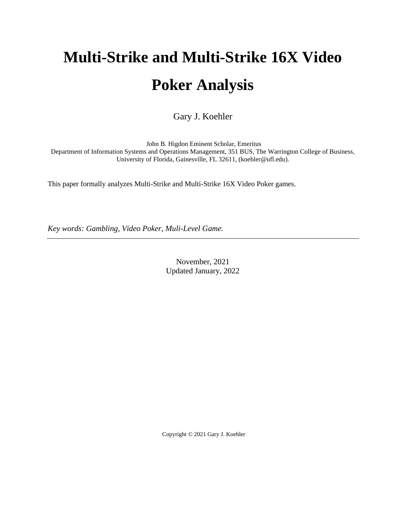# **Multi-Strike and Multi-Strike 16X Video Poker Analysis**

Gary J. Koehler

John B. Higdon Eminent Scholar, Emeritus Department of Information Systems and Operations Management, 351 BUS, The Warrington College of Business, University of Florida, Gainesville, FL 32611, (koehler@ufl.edu).

This paper formally analyzes Multi-Strike and Multi-Strike 16X Video Poker games.

*Key words: Gambling, Video Poker, Muli-Level Game.*

November, 2021 Updated January, 2022

Copyright © 2021 Gary J. Koehler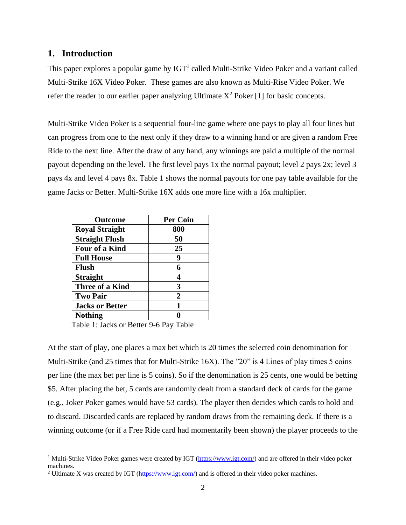#### **1. Introduction**

This paper explores a popular game by  $IGT<sup>1</sup>$  called Multi-Strike Video Poker and a variant called Multi-Strike 16X Video Poker. These games are also known as Multi-Rise Video Poker. We refer the reader to our earlier paper analyzing Ultimate  $X^2$  Poker [1] for basic concepts.

Multi-Strike Video Poker is a sequential four-line game where one pays to play all four lines but can progress from one to the next only if they draw to a winning hand or are given a random Free Ride to the next line. After the draw of any hand, any winnings are paid a multiple of the normal payout depending on the level. The first level pays 1x the normal payout; level 2 pays 2x; level 3 pays 4x and level 4 pays 8x. Table 1 shows the normal payouts for one pay table available for the game Jacks or Better. Multi-Strike 16X adds one more line with a 16x multiplier.

| <b>Outcome</b>         | <b>Per Coin</b> |
|------------------------|-----------------|
| <b>Royal Straight</b>  | 800             |
| <b>Straight Flush</b>  | 50              |
| <b>Four of a Kind</b>  | 25              |
| <b>Full House</b>      | 9               |
| <b>Flush</b>           | 6               |
| <b>Straight</b>        | 4               |
| Three of a Kind        | 3               |
| <b>Two Pair</b>        | $\mathbf 2$     |
| <b>Jacks or Better</b> | 1               |
| <b>Nothing</b>         |                 |

Table 1: Jacks or Better 9-6 Pay Table

At the start of play, one places a max bet which is 20 times the selected coin denomination for Multi-Strike (and 25 times that for Multi-Strike 16X). The "20" is 4 Lines of play times 5 coins per line (the max bet per line is 5 coins). So if the denomination is 25 cents, one would be betting \$5. After placing the bet, 5 cards are randomly dealt from a standard deck of cards for the game (e.g., Joker Poker games would have 53 cards). The player then decides which cards to hold and to discard. Discarded cards are replaced by random draws from the remaining deck. If there is a winning outcome (or if a Free Ride card had momentarily been shown) the player proceeds to the

<sup>&</sup>lt;sup>1</sup> Multi-Strike Video Poker games were created by IGT ( $\frac{https://www.igt.com/}{https://www.igt.com/})$  and are offered in their video poker machines.

<sup>&</sup>lt;sup>2</sup> Ultimate X was created by IGT ( $\frac{https://www.igt.com/}{https://www.igt.com/})$  and is offered in their video poker machines.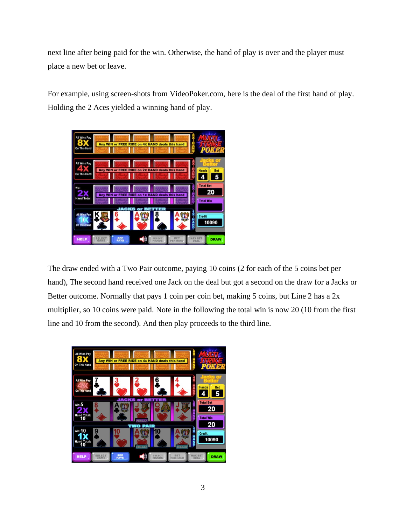next line after being paid for the win. Otherwise, the hand of play is over and the player must place a new bet or leave.

For example, using screen-shots from VideoPoker.com, here is the deal of the first hand of play. Holding the 2 Aces yielded a winning hand of play.



The draw ended with a Two Pair outcome, paying 10 coins (2 for each of the 5 coins bet per hand), The second hand received one Jack on the deal but got a second on the draw for a Jacks or Better outcome. Normally that pays 1 coin per coin bet, making 5 coins, but Line 2 has a 2x multiplier, so 10 coins were paid. Note in the following the total win is now 20 (10 from the first line and 10 from the second). And then play proceeds to the third line.

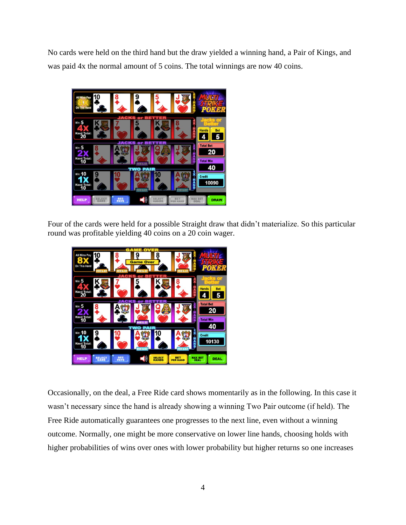No cards were held on the third hand but the draw yielded a winning hand, a Pair of Kings, and was paid 4x the normal amount of 5 coins. The total winnings are now 40 coins.



Four of the cards were held for a possible Straight draw that didn't materialize. So this particular round was profitable yielding 40 coins on a 20 coin wager.



Occasionally, on the deal, a Free Ride card shows momentarily as in the following. In this case it wasn't necessary since the hand is already showing a winning Two Pair outcome (if held). The Free Ride automatically guarantees one progresses to the next line, even without a winning outcome. Normally, one might be more conservative on lower line hands, choosing holds with higher probabilities of wins over ones with lower probability but higher returns so one increases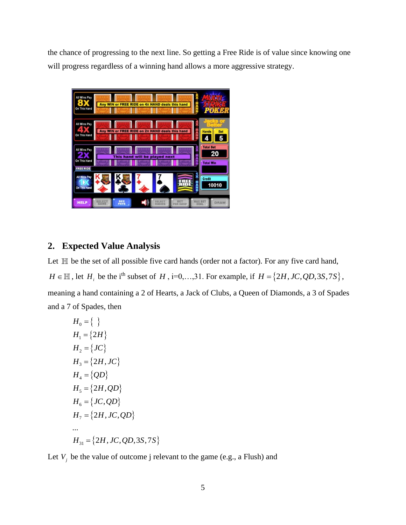the chance of progressing to the next line. So getting a Free Ride is of value since knowing one will progress regardless of a winning hand allows a more aggressive strategy.



## **2. Expected Value Analysis**

Let  $\mathbb H$  be the set of all possible five card hands (order not a factor). For any five card hand,  $H \in \mathbb{H}$ , let  $H_i$  be the i<sup>th</sup> subset of  $H$ , i=0,...,31. For example, if  $H = \{2H, JC, QD, 3S, 7S\}$ , meaning a hand containing a 2 of Hearts, a Jack of Clubs, a Queen of Diamonds, a 3 of Spades and a 7 of Spades, then

$$
H_0 = \{ \}
$$
  
\n
$$
H_1 = \{2H\}
$$
  
\n
$$
H_2 = \{JC\}
$$
  
\n
$$
H_3 = \{2H, JC\}
$$
  
\n
$$
H_4 = \{QD\}
$$
  
\n
$$
H_5 = \{2H, QD\}
$$
  
\n
$$
H_6 = \{JC, QD\}
$$
  
\n
$$
H_7 = \{2H, JC, QD\}
$$
  
\n...  
\n
$$
H_{31} = \{2H, JC, QD, 3S, 7S\}
$$

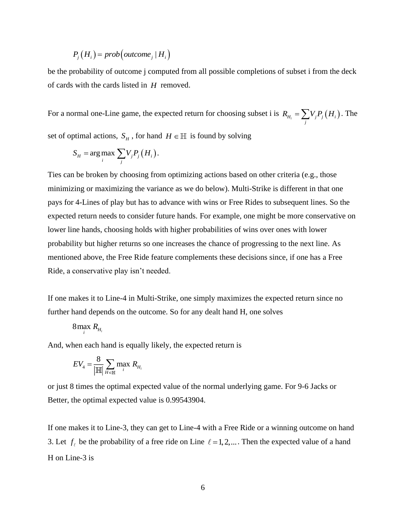$$
P_j(H_i) = prob\left( outcome_j \mid H_i \right)
$$

be the probability of outcome j computed from all possible completions of subset i from the deck of cards with the cards listed in *H* removed.

For a normal one-Line game, the expected return for choosing subset i is  $R_{H_i} = \sum_j V_j P_j(H_i)$  $R_{H_i} = \sum V_j P_j (H_i)$ . The set of optimal actions,  $S_H$ , for hand  $H \in \mathbb{H}$  is found by solving

$$
S_H = \arg \max_i \sum_j V_j P_j(H_i).
$$

Ties can be broken by choosing from optimizing actions based on other criteria (e.g., those minimizing or maximizing the variance as we do below). Multi-Strike is different in that one pays for 4-Lines of play but has to advance with wins or Free Rides to subsequent lines. So the expected return needs to consider future hands. For example, one might be more conservative on lower line hands, choosing holds with higher probabilities of wins over ones with lower probability but higher returns so one increases the chance of progressing to the next line. As mentioned above, the Free Ride feature complements these decisions since, if one has a Free Ride, a conservative play isn't needed.

If one makes it to Line-4 in Multi-Strike, one simply maximizes the expected return since no further hand depends on the outcome. So for any dealt hand H, one solves

$$
8 \max_{i} R_{H_i}
$$

And, when each hand is equally likely, the expected return is

$$
EV_4 = \frac{8}{\left|\mathbb{H}\right|} \sum_{H \in \mathbb{H}} \max_i R_{H_i}
$$

or just 8 times the optimal expected value of the normal underlying game. For 9-6 Jacks or Better, the optimal expected value is 0.99543904.

If one makes it to Line-3, they can get to Line-4 with a Free Ride or a winning outcome on hand 3. Let  $f_i$  be the probability of a free ride on Line  $\ell = 1, 2, \dots$ . Then the expected value of a hand H on Line-3 is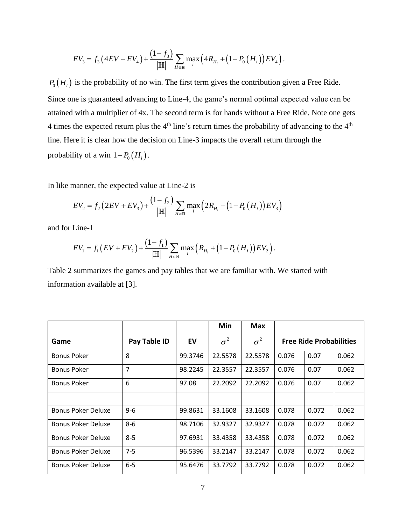$$
EV_{3} = f_{3} \left( 4EV + EV_{4} \right) + \frac{\left( 1 - f_{3} \right)}{\left| \mathbb{H} \right|} \sum_{H \in \mathbb{H}} \max_{i} \left( 4R_{H_{i}} + \left( 1 - P_{0} \left( H_{i} \right) \right) EV_{4} \right).
$$

 $P_0(H_i)$  is the probability of no win. The first term gives the contribution given a Free Ride. Since one is guaranteed advancing to Line-4, the game's normal optimal expected value can be attained with a multiplier of 4x. The second term is for hands without a Free Ride. Note one gets 4 times the expected return plus the  $4<sup>th</sup>$  line's return times the probability of advancing to the  $4<sup>th</sup>$ line. Here it is clear how the decision on Line-3 impacts the overall return through the probability of a win  $1-P_0(H_i)$ .

In like manner, the expected value at Line-2 is

$$
EV_2 = f_2 \left(2EV + EV_3\right) + \frac{\left(1 - f_2\right)}{\left|\mathbb{H}\right|} \sum_{H \in \mathbb{H}} \max_i \left(2R_{H_i} + \left(1 - P_0\left(H_i\right)\right)EV_3\right)
$$

and for Line-1

$$
EV_{1} = f_{1} \left( EV + EV_{2} \right) + \frac{\left( 1 - f_{1} \right)}{\left| \mathbb{H} \right|} \sum_{H \in \mathbb{H}} \max_{i} \left( R_{H_{i}} + \left( 1 - P_{0} \left( H_{i} \right) \right) EV_{2} \right).
$$

Table 2 summarizes the games and pay tables that we are familiar with. We started with information available at [3].

|                           |                |         | Min        | Max        |                                |       |       |  |
|---------------------------|----------------|---------|------------|------------|--------------------------------|-------|-------|--|
| Game                      | Pay Table ID   | EV      | $\sigma^2$ | $\sigma^2$ | <b>Free Ride Probabilities</b> |       |       |  |
| <b>Bonus Poker</b>        | 8              | 99.3746 | 22.5578    | 22.5578    | 0.076                          | 0.07  | 0.062 |  |
| <b>Bonus Poker</b>        | $\overline{7}$ | 98.2245 | 22.3557    | 22.3557    | 0.076                          | 0.07  | 0.062 |  |
| <b>Bonus Poker</b>        | 6              | 97.08   | 22.2092    | 22.2092    | 0.076                          | 0.07  | 0.062 |  |
|                           |                |         |            |            |                                |       |       |  |
| <b>Bonus Poker Deluxe</b> | $9 - 6$        | 99.8631 | 33.1608    | 33.1608    | 0.078                          | 0.072 | 0.062 |  |
| <b>Bonus Poker Deluxe</b> | 8-6            | 98.7106 | 32.9327    | 32.9327    | 0.078                          | 0.072 | 0.062 |  |
| <b>Bonus Poker Deluxe</b> | $8 - 5$        | 97.6931 | 33.4358    | 33.4358    | 0.078                          | 0.072 | 0.062 |  |
| <b>Bonus Poker Deluxe</b> | $7 - 5$        | 96.5396 | 33.2147    | 33.2147    | 0.078                          | 0.072 | 0.062 |  |
| <b>Bonus Poker Deluxe</b> | $6-5$          | 95.6476 | 33.7792    | 33.7792    | 0.078                          | 0.072 | 0.062 |  |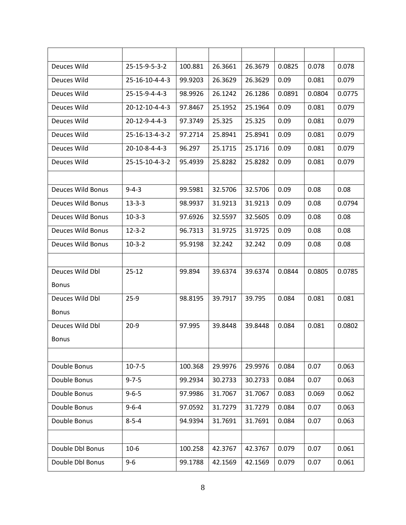| Deuces Wild       | 25-15-9-5-3-2  | 100.881 | 26.3661 | 26.3679 | 0.0825 | 0.078  | 0.078  |
|-------------------|----------------|---------|---------|---------|--------|--------|--------|
| Deuces Wild       | 25-16-10-4-4-3 | 99.9203 | 26.3629 | 26.3629 | 0.09   | 0.081  | 0.079  |
| Deuces Wild       | 25-15-9-4-4-3  | 98.9926 | 26.1242 | 26.1286 | 0.0891 | 0.0804 | 0.0775 |
| Deuces Wild       | 20-12-10-4-4-3 | 97.8467 | 25.1952 | 25.1964 | 0.09   | 0.081  | 0.079  |
| Deuces Wild       | 20-12-9-4-4-3  | 97.3749 | 25.325  | 25.325  | 0.09   | 0.081  | 0.079  |
| Deuces Wild       | 25-16-13-4-3-2 | 97.2714 | 25.8941 | 25.8941 | 0.09   | 0.081  | 0.079  |
| Deuces Wild       | 20-10-8-4-4-3  | 96.297  | 25.1715 | 25.1716 | 0.09   | 0.081  | 0.079  |
| Deuces Wild       | 25-15-10-4-3-2 | 95.4939 | 25.8282 | 25.8282 | 0.09   | 0.081  | 0.079  |
|                   |                |         |         |         |        |        |        |
| Deuces Wild Bonus | $9 - 4 - 3$    | 99.5981 | 32.5706 | 32.5706 | 0.09   | 0.08   | 0.08   |
| Deuces Wild Bonus | $13 - 3 - 3$   | 98.9937 | 31.9213 | 31.9213 | 0.09   | 0.08   | 0.0794 |
| Deuces Wild Bonus | $10-3-3$       | 97.6926 | 32.5597 | 32.5605 | 0.09   | 0.08   | 0.08   |
| Deuces Wild Bonus | $12 - 3 - 2$   | 96.7313 | 31.9725 | 31.9725 | 0.09   | 0.08   | 0.08   |
| Deuces Wild Bonus | $10-3-2$       | 95.9198 | 32.242  | 32.242  | 0.09   | 0.08   | 0.08   |
|                   |                |         |         |         |        |        |        |
| Deuces Wild Dbl   | $25 - 12$      | 99.894  | 39.6374 | 39.6374 | 0.0844 | 0.0805 | 0.0785 |
| <b>Bonus</b>      |                |         |         |         |        |        |        |
| Deuces Wild Dbl   | $25-9$         | 98.8195 | 39.7917 | 39.795  | 0.084  | 0.081  | 0.081  |
| <b>Bonus</b>      |                |         |         |         |        |        |        |
| Deuces Wild Dbl   | $20-9$         | 97.995  | 39.8448 | 39.8448 | 0.084  | 0.081  | 0.0802 |
| <b>Bonus</b>      |                |         |         |         |        |        |        |
|                   |                |         |         |         |        |        |        |
| Double Bonus      | $10 - 7 - 5$   | 100.368 | 29.9976 | 29.9976 | 0.084  | 0.07   | 0.063  |
| Double Bonus      | $9 - 7 - 5$    | 99.2934 | 30.2733 | 30.2733 | 0.084  | 0.07   | 0.063  |
| Double Bonus      | $9 - 6 - 5$    | 97.9986 | 31.7067 | 31.7067 | 0.083  | 0.069  | 0.062  |
| Double Bonus      | $9 - 6 - 4$    | 97.0592 | 31.7279 | 31.7279 | 0.084  | 0.07   | 0.063  |
| Double Bonus      | $8 - 5 - 4$    | 94.9394 | 31.7691 | 31.7691 | 0.084  | 0.07   | 0.063  |
|                   |                |         |         |         |        |        |        |
| Double Dbl Bonus  | $10-6$         | 100.258 | 42.3767 | 42.3767 | 0.079  | 0.07   | 0.061  |
| Double Dbl Bonus  | $9 - 6$        | 99.1788 | 42.1569 | 42.1569 | 0.079  | 0.07   | 0.061  |
|                   |                |         |         |         |        |        |        |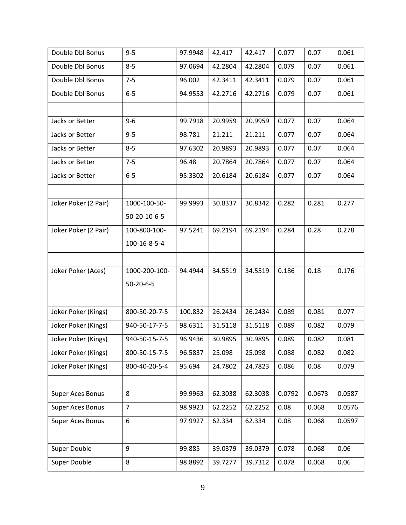| Double Dbl Bonus        | $9 - 5$        | 97.9948 | 42.417  | 42.417  | 0.077  | 0.07   | 0.061  |
|-------------------------|----------------|---------|---------|---------|--------|--------|--------|
| Double Dbl Bonus        | $8 - 5$        | 97.0694 | 42.2804 | 42.2804 | 0.079  | 0.07   | 0.061  |
| Double Dbl Bonus        | $7 - 5$        | 96.002  | 42.3411 | 42.3411 | 0.079  | 0.07   | 0.061  |
| Double Dbl Bonus        | $6-5$          | 94.9553 | 42.2716 | 42.2716 | 0.079  | 0.07   | 0.061  |
|                         |                |         |         |         |        |        |        |
| Jacks or Better         | $9 - 6$        | 99.7918 | 20.9959 | 20.9959 | 0.077  | 0.07   | 0.064  |
| Jacks or Better         | $9 - 5$        | 98.781  | 21.211  | 21.211  | 0.077  | 0.07   | 0.064  |
| Jacks or Better         | $8 - 5$        | 97.6302 | 20.9893 | 20.9893 | 0.077  | 0.07   | 0.064  |
| Jacks or Better         | $7 - 5$        | 96.48   | 20.7864 | 20.7864 | 0.077  | 0.07   | 0.064  |
| Jacks or Better         | $6-5$          | 95.3302 | 20.6184 | 20.6184 | 0.077  | 0.07   | 0.064  |
|                         |                |         |         |         |        |        |        |
| Joker Poker (2 Pair)    | 1000-100-50-   | 99.9993 | 30.8337 | 30.8342 | 0.282  | 0.281  | 0.277  |
|                         | 50-20-10-6-5   |         |         |         |        |        |        |
| Joker Poker (2 Pair)    | 100-800-100-   | 97.5241 | 69.2194 | 69.2194 | 0.284  | 0.28   | 0.278  |
|                         | 100-16-8-5-4   |         |         |         |        |        |        |
|                         |                |         |         |         |        |        |        |
| Joker Poker (Aces)      | 1000-200-100-  | 94.4944 | 34.5519 | 34.5519 | 0.186  | 0.18   | 0.176  |
|                         | $50-20-6-5$    |         |         |         |        |        |        |
|                         |                |         |         |         |        |        |        |
| Joker Poker (Kings)     | 800-50-20-7-5  | 100.832 | 26.2434 | 26.2434 | 0.089  | 0.081  | 0.077  |
| Joker Poker (Kings)     | 940-50-17-7-5  | 98.6311 | 31.5118 | 31.5118 | 0.089  | 0.082  | 0.079  |
| Joker Poker (Kings)     | 940-50-15-7-5  | 96.9436 | 30.9895 | 30.9895 | 0.089  | 0.082  | 0.081  |
| Joker Poker (Kings)     | 800-50-15-7-5  | 96.5837 | 25.098  | 25.098  | 0.088  | 0.082  | 0.082  |
| Joker Poker (Kings)     | 800-40-20-5-4  | 95.694  | 24.7802 | 24.7823 | 0.086  | 0.08   | 0.079  |
|                         |                |         |         |         |        |        |        |
| Super Aces Bonus        | 8              | 99.9963 | 62.3038 | 62.3038 | 0.0792 | 0.0673 | 0.0587 |
| <b>Super Aces Bonus</b> | $\overline{7}$ | 98.9923 | 62.2252 | 62.2252 | 0.08   | 0.068  | 0.0576 |
| <b>Super Aces Bonus</b> | 6              | 97.9927 | 62.334  | 62.334  | 0.08   | 0.068  | 0.0597 |
|                         |                |         |         |         |        |        |        |
| Super Double            | 9              | 99.885  | 39.0379 | 39.0379 | 0.078  | 0.068  | 0.06   |
| Super Double            | 8              | 98.8892 | 39.7277 | 39.7312 | 0.078  | 0.068  | 0.06   |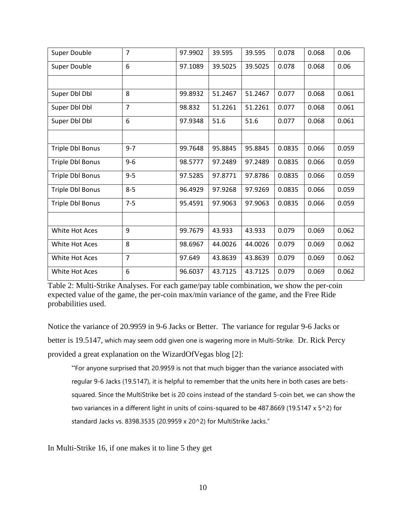| Super Double     | $\overline{7}$ | 97.9902 | 39.595  | 39.595  | 0.078  | 0.068 | 0.06  |
|------------------|----------------|---------|---------|---------|--------|-------|-------|
| Super Double     | 6              | 97.1089 | 39.5025 | 39.5025 | 0.078  | 0.068 | 0.06  |
|                  |                |         |         |         |        |       |       |
| Super Dbl Dbl    | 8              | 99.8932 | 51.2467 | 51.2467 | 0.077  | 0.068 | 0.061 |
| Super Dbl Dbl    | $\overline{7}$ | 98.832  | 51.2261 | 51.2261 | 0.077  | 0.068 | 0.061 |
| Super Dbl Dbl    | 6              | 97.9348 | 51.6    | 51.6    | 0.077  | 0.068 | 0.061 |
|                  |                |         |         |         |        |       |       |
| Triple Dbl Bonus | $9 - 7$        | 99.7648 | 95.8845 | 95.8845 | 0.0835 | 0.066 | 0.059 |
| Triple Dbl Bonus | $9 - 6$        | 98.5777 | 97.2489 | 97.2489 | 0.0835 | 0.066 | 0.059 |
| Triple Dbl Bonus | $9 - 5$        | 97.5285 | 97.8771 | 97.8786 | 0.0835 | 0.066 | 0.059 |
| Triple Dbl Bonus | $8 - 5$        | 96.4929 | 97.9268 | 97.9269 | 0.0835 | 0.066 | 0.059 |
| Triple Dbl Bonus | $7 - 5$        | 95.4591 | 97.9063 | 97.9063 | 0.0835 | 0.066 | 0.059 |
|                  |                |         |         |         |        |       |       |
| White Hot Aces   | 9              | 99.7679 | 43.933  | 43.933  | 0.079  | 0.069 | 0.062 |
| White Hot Aces   | 8              | 98.6967 | 44.0026 | 44.0026 | 0.079  | 0.069 | 0.062 |
| White Hot Aces   | $\overline{7}$ | 97.649  | 43.8639 | 43.8639 | 0.079  | 0.069 | 0.062 |
| White Hot Aces   | 6              | 96.6037 | 43.7125 | 43.7125 | 0.079  | 0.069 | 0.062 |

Table 2: Multi-Strike Analyses. For each game/pay table combination, we show the per-coin expected value of the game, the per-coin max/min variance of the game, and the Free Ride probabilities used.

Notice the variance of 20.9959 in 9-6 Jacks or Better. The variance for regular 9-6 Jacks or better is 19.5147, which may seem odd given one is wagering more in Multi-Strike. Dr. Rick Percy provided a great explanation on the WizardOfVegas blog [2]:

"For anyone surprised that 20.9959 is not that much bigger than the variance associated with regular 9-6 Jacks (19.5147), it is helpful to remember that the units here in both cases are betssquared. Since the MultiStrike bet is 20 coins instead of the standard 5-coin bet, we can show the two variances in a different light in units of coins-squared to be 487.8669 (19.5147 x 5^2) for standard Jacks vs. 8398.3535 (20.9959 x 20^2) for MultiStrike Jacks."

In Multi-Strike 16, if one makes it to line 5 they get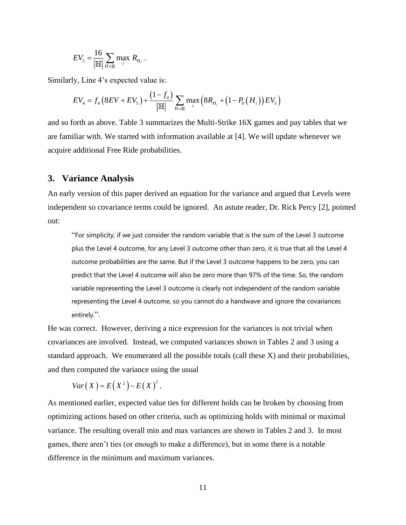$$
EV_{5} = \frac{16}{\left|\mathbb{H}\right|} \sum_{H \in \mathbb{H}} \max_{i} R_{H_{i}}.
$$

Similarly, Line 4's expected value is:

$$
EV_{4} = f_{4} \left( 8EV + EV_{5} \right) + \frac{\left( 1 - f_{4} \right)}{\left| \mathbb{H} \right|} \sum_{H \in \mathbb{H}} \max_{i} \left( 8R_{H_{i}} + \left( 1 - P_{0} \left( H_{i} \right) \right) EV_{5} \right)
$$

and so forth as above. Table 3 summarizes the Multi-Strike 16X games and pay tables that we are familiar with. We started with information available at [4]. We will update whenever we acquire additional Free Ride probabilities.

#### **3. Variance Analysis**

An early version of this paper derived an equation for the variance and argued that Levels were independent so covariance terms could be ignored. An astute reader, Dr. Rick Percy [2], pointed out:

"For simplicity, if we just consider the random variable that is the sum of the Level 3 outcome plus the Level 4 outcome, for any Level 3 outcome other than zero, it is true that all the Level 4 outcome probabilities are the same. But if the Level 3 outcome happens to be zero, you can predict that the Level 4 outcome will also be zero more than 97% of the time. So, the random variable representing the Level 3 outcome is clearly not independent of the random variable representing the Level 4 outcome, so you cannot do a handwave and ignore the covariances entirely.".

He was correct. However, deriving a nice expression for the variances is not trivial when covariances are involved. Instead, we computed variances shown in Tables 2 and 3 using a standard approach. We enumerated all the possible totals (call these X) and their probabilities, and then computed the variance using the usual

$$
Var(X) = E(X^{2}) - E(X)^{2}.
$$

As mentioned earlier, expected value ties for different holds can be broken by choosing from optimizing actions based on other criteria, such as optimizing holds with minimal or maximal variance. The resulting overall min and max variances are shown in Tables 2 and 3. In most games, there aren't ties (or enough to make a difference), but in some there is a notable difference in the minimum and maximum variances.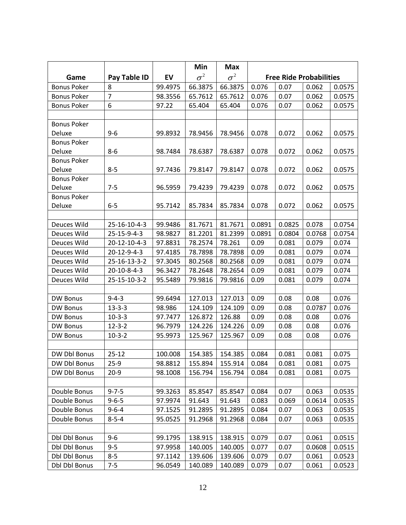|                      |                       |         | Min        | <b>Max</b> |        |        |                                |        |
|----------------------|-----------------------|---------|------------|------------|--------|--------|--------------------------------|--------|
| Game                 | Pay Table ID          | EV      | $\sigma^2$ | $\sigma^2$ |        |        | <b>Free Ride Probabilities</b> |        |
| <b>Bonus Poker</b>   | 8                     | 99.4975 | 66.3875    | 66.3875    | 0.076  | 0.07   | 0.062                          | 0.0575 |
| <b>Bonus Poker</b>   | $\overline{7}$        | 98.3556 | 65.7612    | 65.7612    | 0.076  | 0.07   | 0.062                          | 0.0575 |
| <b>Bonus Poker</b>   | 6                     | 97.22   | 65.404     | 65.404     | 0.076  | 0.07   | 0.062                          | 0.0575 |
|                      |                       |         |            |            |        |        |                                |        |
| <b>Bonus Poker</b>   |                       |         |            |            |        |        |                                |        |
| Deluxe               | $9 - 6$               | 99.8932 | 78.9456    | 78.9456    | 0.078  | 0.072  | 0.062                          | 0.0575 |
| <b>Bonus Poker</b>   |                       |         |            |            |        |        |                                |        |
| Deluxe               | $8 - 6$               | 98.7484 | 78.6387    | 78.6387    | 0.078  | 0.072  | 0.062                          | 0.0575 |
| <b>Bonus Poker</b>   |                       |         |            |            |        |        |                                |        |
| Deluxe               | $8 - 5$               | 97.7436 | 79.8147    | 79.8147    | 0.078  | 0.072  | 0.062                          | 0.0575 |
| <b>Bonus Poker</b>   |                       |         |            |            |        |        |                                |        |
| Deluxe               | $7 - 5$               | 96.5959 | 79.4239    | 79.4239    | 0.078  | 0.072  | 0.062                          | 0.0575 |
| <b>Bonus Poker</b>   |                       |         |            |            |        |        |                                |        |
| Deluxe               | $6 - 5$               | 95.7142 | 85.7834    | 85.7834    | 0.078  | 0.072  | 0.062                          | 0.0575 |
|                      |                       |         |            |            |        |        |                                |        |
| Deuces Wild          | 25-16-10-4-3          | 99.9486 | 81.7671    | 81.7671    | 0.0891 | 0.0825 | 0.078                          | 0.0754 |
| Deuces Wild          | $25 - 15 - 9 - 4 - 3$ | 98.9827 | 81.2201    | 81.2399    | 0.0891 | 0.0804 | 0.0768                         | 0.0754 |
| Deuces Wild          | 20-12-10-4-3          | 97.8831 | 78.2574    | 78.261     | 0.09   | 0.081  | 0.079                          | 0.074  |
| Deuces Wild          | 20-12-9-4-3           | 97.4185 | 78.7898    | 78.7898    | 0.09   | 0.081  | 0.079                          | 0.074  |
| Deuces Wild          | 25-16-13-3-2          | 97.3045 | 80.2568    | 80.2568    | 0.09   | 0.081  | 0.079                          | 0.074  |
| Deuces Wild          | 20-10-8-4-3           | 96.3427 | 78.2648    | 78.2654    | 0.09   | 0.081  | 0.079                          | 0.074  |
| Deuces Wild          | 25-15-10-3-2          | 95.5489 | 79.9816    | 79.9816    | 0.09   | 0.081  | 0.079                          | 0.074  |
|                      |                       |         |            |            |        |        |                                |        |
| <b>DW Bonus</b>      | $9 - 4 - 3$           | 99.6494 | 127.013    | 127.013    | 0.09   | 0.08   | 0.08                           | 0.076  |
| DW Bonus             | $13 - 3 - 3$          | 98.986  | 124.109    | 124.109    | 0.09   | 0.08   | 0.0787                         | 0.076  |
| <b>DW Bonus</b>      | $10-3-3$              | 97.7477 | 126.872    | 126.88     | 0.09   | 0.08   | 0.08                           | 0.076  |
| <b>DW Bonus</b>      | $12 - 3 - 2$          | 96.7979 | 124.226    | 124.226    | 0.09   | 0.08   | 0.08                           | 0.076  |
| DW Bonus             | $10-3-2$              | 95.9973 | 125.967    | 125.967    | 0.09   | 0.08   | 0.08                           | 0.076  |
|                      |                       |         |            |            |        |        |                                |        |
| DW Dbl Bonus         | $25 - 12$             | 100.008 | 154.385    | 154.385    | 0.084  | 0.081  | 0.081                          | 0.075  |
| DW Dbl Bonus         | $25-9$                | 98.8812 | 155.894    | 155.914    | 0.084  | 0.081  | 0.081                          | 0.075  |
| DW Dbl Bonus         | $20-9$                | 98.1008 | 156.794    | 156.794    | 0.084  | 0.081  | 0.081                          | 0.075  |
|                      |                       |         |            |            |        |        |                                |        |
| Double Bonus         | $9 - 7 - 5$           | 99.3263 | 85.8547    | 85.8547    | 0.084  | 0.07   | 0.063                          | 0.0535 |
| Double Bonus         | $9 - 6 - 5$           | 97.9974 | 91.643     | 91.643     | 0.083  | 0.069  | 0.0614                         | 0.0535 |
| Double Bonus         | $9 - 6 - 4$           | 97.1525 | 91.2895    | 91.2895    | 0.084  | 0.07   | 0.063                          | 0.0535 |
| Double Bonus         | $8 - 5 - 4$           | 95.0525 | 91.2968    | 91.2968    | 0.084  | 0.07   | 0.063                          | 0.0535 |
|                      |                       |         |            |            |        |        |                                |        |
| Dbl Dbl Bonus        | $9 - 6$               | 99.1795 | 138.915    | 138.915    | 0.079  | 0.07   | 0.061                          | 0.0515 |
| <b>Dbl Dbl Bonus</b> | $9 - 5$               | 97.9958 | 140.005    | 140.005    | 0.077  | 0.07   | 0.0608                         | 0.0515 |
| Dbl Dbl Bonus        | $8 - 5$               | 97.1142 | 139.606    | 139.606    | 0.079  | 0.07   | 0.061                          | 0.0523 |
| <b>Dbl Dbl Bonus</b> | $7 - 5$               | 96.0549 | 140.089    | 140.089    | 0.079  | 0.07   | 0.061                          | 0.0523 |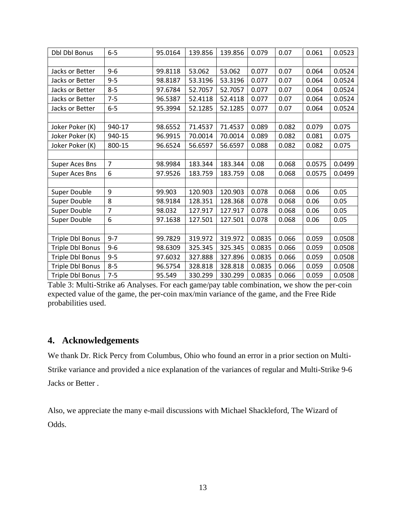| <b>Dbl Dbl Bonus</b>  | $6-5$          | 95.0164 | 139.856 | 139.856 | 0.079  | 0.07  | 0.061  | 0.0523 |
|-----------------------|----------------|---------|---------|---------|--------|-------|--------|--------|
|                       |                |         |         |         |        |       |        |        |
| Jacks or Better       | $9 - 6$        | 99.8118 | 53.062  | 53.062  | 0.077  | 0.07  | 0.064  | 0.0524 |
| Jacks or Better       | $9 - 5$        | 98.8187 | 53.3196 | 53.3196 | 0.077  | 0.07  | 0.064  | 0.0524 |
| Jacks or Better       | $8 - 5$        | 97.6784 | 52.7057 | 52.7057 | 0.077  | 0.07  | 0.064  | 0.0524 |
| Jacks or Better       | $7 - 5$        | 96.5387 | 52.4118 | 52.4118 | 0.077  | 0.07  | 0.064  | 0.0524 |
| Jacks or Better       | $6-5$          | 95.3994 | 52.1285 | 52.1285 | 0.077  | 0.07  | 0.064  | 0.0524 |
|                       |                |         |         |         |        |       |        |        |
| Joker Poker (K)       | 940-17         | 98.6552 | 71.4537 | 71.4537 | 0.089  | 0.082 | 0.079  | 0.075  |
| Joker Poker (K)       | 940-15         | 96.9915 | 70.0014 | 70.0014 | 0.089  | 0.082 | 0.081  | 0.075  |
| Joker Poker (K)       | 800-15         | 96.6524 | 56.6597 | 56.6597 | 0.088  | 0.082 | 0.082  | 0.075  |
|                       |                |         |         |         |        |       |        |        |
| <b>Super Aces Bns</b> | $\overline{7}$ | 98.9984 | 183.344 | 183.344 | 0.08   | 0.068 | 0.0575 | 0.0499 |
| <b>Super Aces Bns</b> | 6              | 97.9526 | 183.759 | 183.759 | 0.08   | 0.068 | 0.0575 | 0.0499 |
|                       |                |         |         |         |        |       |        |        |
| Super Double          | 9              | 99.903  | 120.903 | 120.903 | 0.078  | 0.068 | 0.06   | 0.05   |
| Super Double          | 8              | 98.9184 | 128.351 | 128.368 | 0.078  | 0.068 | 0.06   | 0.05   |
| Super Double          | $\overline{7}$ | 98.032  | 127.917 | 127.917 | 0.078  | 0.068 | 0.06   | 0.05   |
| Super Double          | 6              | 97.1638 | 127.501 | 127.501 | 0.078  | 0.068 | 0.06   | 0.05   |
|                       |                |         |         |         |        |       |        |        |
| Triple Dbl Bonus      | $9 - 7$        | 99.7829 | 319.972 | 319.972 | 0.0835 | 0.066 | 0.059  | 0.0508 |
| Triple Dbl Bonus      | $9 - 6$        | 98.6309 | 325.345 | 325.345 | 0.0835 | 0.066 | 0.059  | 0.0508 |
| Triple Dbl Bonus      | $9 - 5$        | 97.6032 | 327.888 | 327.896 | 0.0835 | 0.066 | 0.059  | 0.0508 |
| Triple Dbl Bonus      | $8 - 5$        | 96.5754 | 328.818 | 328.818 | 0.0835 | 0.066 | 0.059  | 0.0508 |
| Triple Dbl Bonus      | $7 - 5$        | 95.549  | 330.299 | 330.299 | 0.0835 | 0.066 | 0.059  | 0.0508 |

Table 3: Multi-Strike a6 Analyses. For each game/pay table combination, we show the per-coin expected value of the game, the per-coin max/min variance of the game, and the Free Ride probabilities used.

### **4. Acknowledgements**

We thank Dr. Rick Percy from Columbus, Ohio who found an error in a prior section on Multi-Strike variance and provided a nice explanation of the variances of regular and Multi-Strike 9-6 Jacks or Better .

Also, we appreciate the many e-mail discussions with Michael Shackleford, The Wizard of Odds.